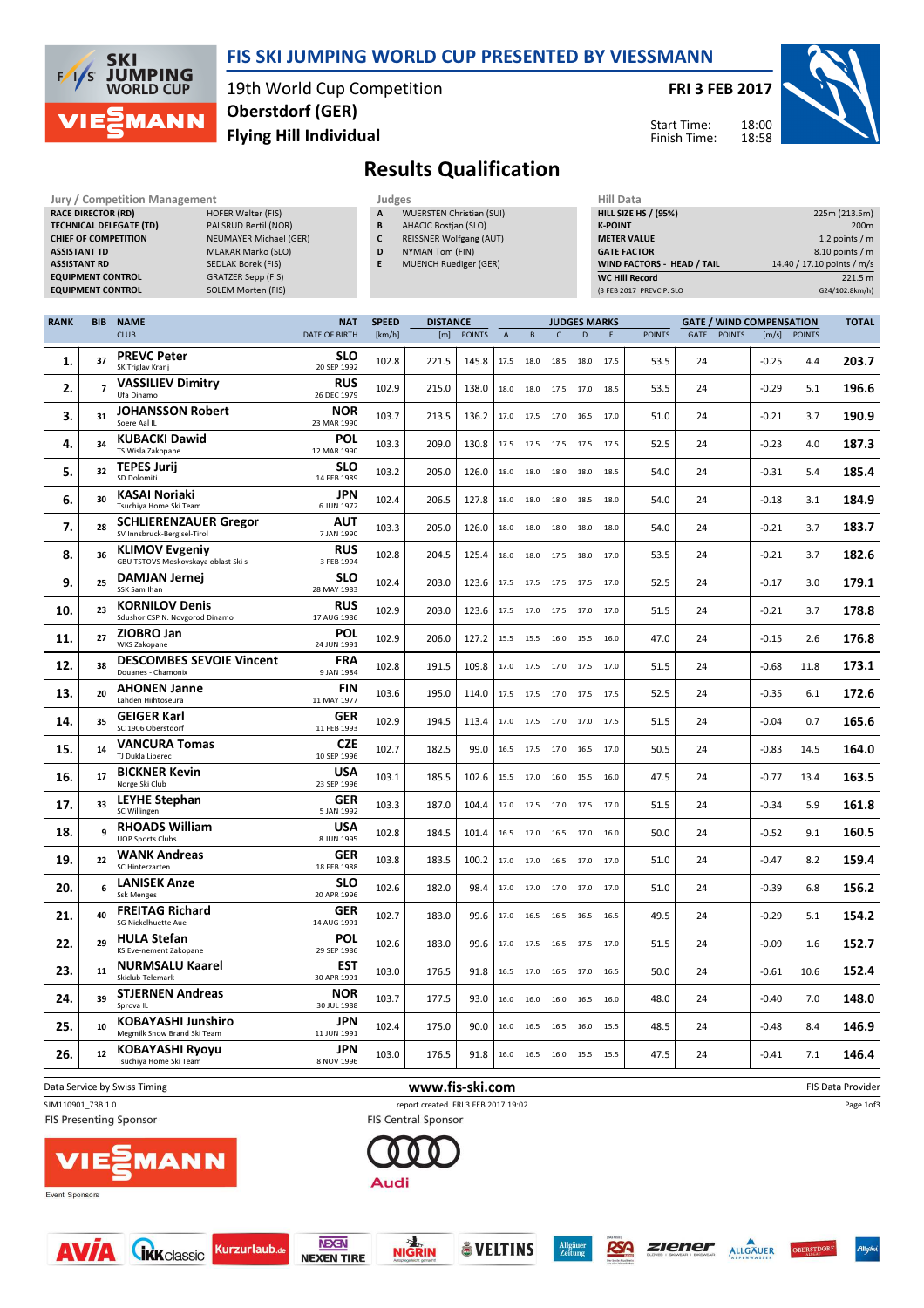

#### FIS SKI JUMPING WORLD CUP PRESENTED BY VIESSMANN

19th World Cup Competition Flying Hill Individual Oberstdorf (GER)

FRI 3 FEB 2017

Start Time: Finish Time:



# Results Qualification

| Jury / Competition Management  | Judges                        |   |                |
|--------------------------------|-------------------------------|---|----------------|
| <b>RACE DIRECTOR (RD)</b>      | <b>HOFER Walter (FIS)</b>     | A | W              |
| <b>TECHNICAL DELEGATE (TD)</b> | PALSRUD Bertil (NOR)          | B | At             |
| <b>CHIEF OF COMPETITION</b>    | <b>NEUMAYER Michael (GER)</b> | C | <b>RE</b>      |
| <b>ASSISTANT TD</b>            | <b>MLAKAR Marko (SLO)</b>     | D | N <sup>1</sup> |
| <b>ASSISTANT RD</b>            | <b>SEDLAK Borek (FIS)</b>     | E | M              |
| <b>EQUIPMENT CONTROL</b>       | <b>GRATZER Sepp (FIS)</b>     |   |                |
| <b>EQUIPMENT CONTROL</b>       | <b>SOLEM Morten (FIS)</b>     |   |                |
|                                |                               |   |                |

- WUERSTEN Christian (SUI) B AHACIC Bostjan (SLO)
- C REISSNER Wolfgang (AUT)
- D NYMAN Tom (FIN)
- E MUENCH Ruediger (GER)

| Hill Data                   |                            |
|-----------------------------|----------------------------|
| <b>HILL SIZE HS / (95%)</b> | 225m (213.5m)              |
| <b>K-POINT</b>              | 200 <sub>m</sub>           |
| <b>METER VALUE</b>          | 1.2 points $/m$            |
| <b>GATE FACTOR</b>          | 8.10 points / m            |
| WIND FACTORS - HEAD / TAIL  | 14.40 / 17.10 points / m/s |
| <b>WC Hill Record</b>       | 221.5 m                    |
| (3 FEB 2017 PREVC P. SLO    | G24/102.8km/h)             |

| <b>RANK</b> | <b>BIB</b>     | <b>NAME</b>                                                  | <b>NAT</b>                | <b>SPEED</b> | <b>DISTANCE</b> |               |                | <b>JUDGES MARKS</b> |              |                |      |               |             | <b>GATE / WIND COMPENSATION</b> |         |               |                          |
|-------------|----------------|--------------------------------------------------------------|---------------------------|--------------|-----------------|---------------|----------------|---------------------|--------------|----------------|------|---------------|-------------|---------------------------------|---------|---------------|--------------------------|
|             |                | <b>CLUB</b>                                                  | DATE OF BIRTH             | [km/h]       | [m]             | <b>POINTS</b> | $\overline{A}$ | B                   | $\mathsf{C}$ | D              | F    | <b>POINTS</b> | <b>GATE</b> | <b>POINTS</b>                   | [m/s]   | <b>POINTS</b> |                          |
| 1.          | 37             | <b>PREVC Peter</b><br>SK Triglav Kranj                       | SLO<br>20 SEP 1992        | 102.8        | 221.5           | 145.8         | 17.5           | 18.0                | 18.5         | 18.0           | 17.5 | 53.5          | 24          |                                 | $-0.25$ | 4.4           | 203.7                    |
| 2.          | $\overline{7}$ | <b>VASSILIEV Dimitry</b><br>Ufa Dinamo                       | <b>RUS</b><br>26 DEC 1979 | 102.9        | 215.0           | 138.0         | 18.0           | 18.0                | 17.5         | 17.0           | 18.5 | 53.5          | 24          |                                 | $-0.29$ | 5.1           | 196.6                    |
| 3.          | 31             | <b>JOHANSSON Robert</b><br>Soere Aal IL                      | <b>NOR</b><br>23 MAR 1990 | 103.7        | 213.5           | 136.2         |                | 17.0 17.5           |              | 17.0 16.5 17.0 |      | 51.0          | 24          |                                 | $-0.21$ | 3.7           | 190.9                    |
| 4.          | 34             | <b>KUBACKI Dawid</b><br>TS Wisla Zakopane                    | POL<br>12 MAR 1990        | 103.3        | 209.0           | 130.8         | 17.5           | 17.5                | 17.5 17.5    |                | 17.5 | 52.5          | 24          |                                 | $-0.23$ | 4.0           | 187.3                    |
| 5.          | 32             | <b>TEPES Jurii</b><br>SD Dolomiti                            | SLO<br>14 FEB 1989        | 103.2        | 205.0           | 126.0         | 18.0           | 18.0                | 18.0         | 18.0           | 18.5 | 54.0          | 24          |                                 | $-0.31$ | 5.4           | 185.4                    |
| 6.          | 30             | KASAI Noriaki<br>Tsuchiya Home Ski Team                      | <b>JPN</b><br>6 JUN 1972  | 102.4        | 206.5           | 127.8         | 18.0           | 18.0                |              | 18.0 18.5 18.0 |      | 54.0          | 24          |                                 | $-0.18$ | 3.1           | 184.9                    |
| 7.          | 28             | <b>SCHLIERENZAUER Gregor</b><br>SV Innsbruck-Bergisel-Tirol  | AUT<br>7 JAN 1990         | 103.3        | 205.0           | 126.0         | 18.0           | 18.0                | 18.0         | 18.0           | 18.0 | 54.0          | 24          |                                 | $-0.21$ | 3.7           | 183.7                    |
| 8.          | 36             | <b>KLIMOV Evgeniy</b><br>GBU TSTOVS Moskovskaya oblast Ski s | <b>RUS</b><br>3 FEB 1994  | 102.8        | 204.5           | 125.4         | 18.0           | 18.0                | 17.5         | 18.0           | 17.0 | 53.5          | 24          |                                 | $-0.21$ | 3.7           | 182.6                    |
| 9.          | 25             | DAMJAN Jernej<br>SSK Sam Ihan                                | <b>SLO</b><br>28 MAY 1983 | 102.4        | 203.0           | 123.6         |                | 17.5 17.5           |              | 17.5 17.5 17.0 |      | 52.5          | 24          |                                 | $-0.17$ | 3.0           | 179.1                    |
| 10.         | 23             | <b>KORNILOV Denis</b><br>Sdushor CSP N. Novgorod Dinamo      | <b>RUS</b><br>17 AUG 1986 | 102.9        | 203.0           | 123.6         | 17.5           | 17.0                | 17.5         | 17.0           | 17.0 | 51.5          | 24          |                                 | $-0.21$ | 3.7           | 178.8                    |
| 11.         | 27             | ZIOBRO Jan<br><b>WKS Zakopane</b>                            | <b>POL</b><br>24 JUN 1991 | 102.9        | 206.0           | 127.2         | 15.5           | 15.5                | 16.0         | 15.5           | 16.0 | 47.0          | 24          |                                 | $-0.15$ | 2.6           | 176.8                    |
| 12.         | 38             | <b>DESCOMBES SEVOIE Vincent</b><br>Douanes - Chamonix        | FRA<br>9 JAN 1984         | 102.8        | 191.5           | 109.8         |                | 17.0 17.5           |              | 17.0 17.5 17.0 |      | 51.5          | 24          |                                 | $-0.68$ | 11.8          | 173.1                    |
| 13.         | 20             | <b>AHONEN Janne</b><br>Lahden Hiihtoseura                    | <b>FIN</b><br>11 MAY 1977 | 103.6        | 195.0           | 114.0         | 17.5           | 17.5                | 17.0 17.5    |                | 17.5 | 52.5          | 24          |                                 | $-0.35$ | 6.1           | 172.6                    |
| 14.         | 35             | <b>GEIGER Karl</b><br>SC 1906 Oberstdorf                     | <b>GER</b><br>11 FEB 1993 | 102.9        | 194.5           | 113.4         | 17.0           | 17.5                | 17.0 17.0    |                | 17.5 | 51.5          | 24          |                                 | $-0.04$ | 0.7           | 165.6                    |
| 15.         | 14             | <b>VANCURA Tomas</b><br>TJ Dukla Liberec                     | <b>CZE</b><br>10 SEP 1996 | 102.7        | 182.5           | 99.0          |                | 16.5 17.5           |              | 17.0 16.5 17.0 |      | 50.5          | 24          |                                 | $-0.83$ | 14.5          | 164.0                    |
| 16.         | 17             | <b>BICKNER Kevin</b><br>Norge Ski Club                       | <b>USA</b><br>23 SEP 1996 | 103.1        | 185.5           | 102.6         | 15.5           | 17.0                | 16.0         | 15.5           | 16.0 | 47.5          | 24          |                                 | $-0.77$ | 13.4          | 163.5                    |
| 17.         | 33             | <b>LEYHE Stephan</b><br>SC Willingen                         | <b>GER</b><br>5 JAN 1992  | 103.3        | 187.0           | 104.4         | 17.0           | 17.5                | 17.0         | 17.5           | 17.0 | 51.5          | 24          |                                 | $-0.34$ | 5.9           | 161.8                    |
| 18.         | $\mathbf{q}$   | <b>RHOADS William</b><br><b>UOP Sports Clubs</b>             | <b>USA</b><br>8 JUN 1995  | 102.8        | 184.5           | 101.4         | 16.5           | 17.0                |              | 16.5 17.0 16.0 |      | 50.0          | 24          |                                 | $-0.52$ | 9.1           | 160.5                    |
| 19          | 22             | <b>WANK Andreas</b><br>SC Hinterzarten                       | <b>GER</b><br>18 FEB 1988 | 103.8        | 183.5           | 100.2         | 17.0           | 17.0                | 16.5         | 17.0           | 17.0 | 51.0          | 24          |                                 | $-0.47$ | 8.2           | 159.4                    |
| 20.         | 6              | <b>LANISEK Anze</b><br><b>Ssk Menges</b>                     | <b>SLO</b><br>20 APR 1996 | 102.6        | 182.0           | 98.4          | 17.0           | 17.0                | 17.0         | 17.0           | 17.0 | 51.0          | 24          |                                 | $-0.39$ | 6.8           | 156.2                    |
| 21.         | 40             | <b>FREITAG Richard</b><br>SG Nickelhuette Aue                | <b>GER</b><br>14 AUG 1991 | 102.7        | 183.0           | 99.6          |                | 17.0 16.5           |              | 16.5 16.5 16.5 |      | 49.5          | 24          |                                 | $-0.29$ | 5.1           | 154.2                    |
| 22.         | 29             | <b>HULA Stefan</b><br>KS Eve-nement Zakopane                 | <b>POL</b><br>29 SEP 1986 | 102.6        | 183.0           | 99.6          | 17.0           | 17.5                | 16.5         | 17.5           | 17.0 | 51.5          | 24          |                                 | $-0.09$ | 1.6           | 152.7                    |
| 23.         | 11             | <b>NURMSALU Kaarel</b><br><b>Skiclub Telemark</b>            | EST<br>30 APR 1991        | 103.0        | 176.5           | 91.8          | 16.5           | 17.0                | 16.5         | 17.0           | 16.5 | 50.0          | 24          |                                 | $-0.61$ | 10.6          | 152.4                    |
| 24.         | 39             | <b>STJERNEN Andreas</b><br>Sprova IL                         | <b>NOR</b><br>30 JUL 1988 | 103.7        | 177.5           | 93.0          | 16.0           | 16.0                |              | 16.0 16.5      | 16.0 | 48.0          | 24          |                                 | $-0.40$ | 7.0           | 148.0                    |
| 25.         | 10             | <b>KOBAYASHI Junshiro</b><br>Megmilk Snow Brand Ski Team     | <b>JPN</b><br>11 JUN 1991 | 102.4        | 175.0           | 90.0          | 16.0           | 16.5                | 16.5         | 16.0           | 15.5 | 48.5          | 24          |                                 | $-0.48$ | 8.4           | 146.9                    |
| 26.         | 12             | <b>KOBAYASHI Ryoyu</b><br>Tsuchiya Home Ski Team             | <b>JPN</b><br>8 NOV 1996  | 103.0        | 176.5           | 91.8          | 16.0           | 16.5                | 16.0 15.5    |                | 15.5 | 47.5          | 24          |                                 | $-0.41$ | 7.1           | 146.4                    |
|             |                | Data Service by Swiss Timing                                 |                           |              | www.fis-ski.com |               |                |                     |              |                |      |               |             |                                 |         |               | <b>FIS Data Provider</b> |

SJM110901\_73B 1.0 report created FRI 3 FEB 2017 19:02

**FIS Presenting Sponsor** 



Event Sponsors







**FIS Central Sponsor** 

Audi



RSA





Page 1of3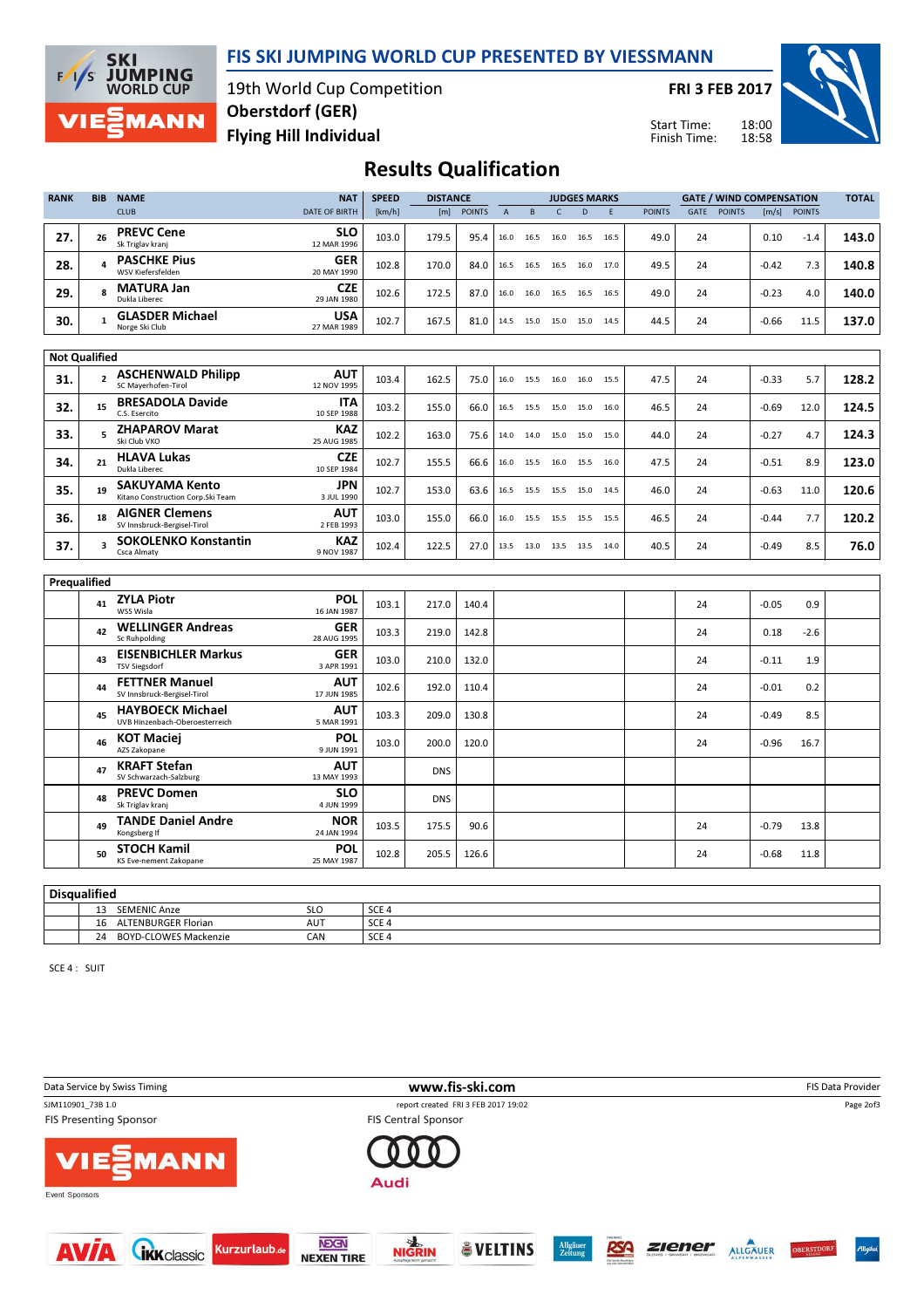



19th World Cup Competition Flying Hill Individual Oberstdorf (GER)

FRI 3 FEB 2017

Start Time: Finish Time:



## Results Qualification

| <b>RANK</b> | <b>BIB</b>           | <b>NAME</b>                                                 | <b>NAT</b>                | <b>SPEED</b> | <b>DISTANCE</b> |               |                | <b>JUDGES MARKS</b> |              |                          |      | <b>GATE / WIND COMPENSATION</b> |             |               |         |               |       |
|-------------|----------------------|-------------------------------------------------------------|---------------------------|--------------|-----------------|---------------|----------------|---------------------|--------------|--------------------------|------|---------------------------------|-------------|---------------|---------|---------------|-------|
|             |                      | <b>CLUB</b>                                                 | <b>DATE OF BIRTH</b>      | [km/h]       | [m]             | <b>POINTS</b> | $\overline{A}$ | B                   | $\mathsf{C}$ | D                        | F    | <b>POINTS</b>                   | <b>GATE</b> | <b>POINTS</b> | [m/s]   | <b>POINTS</b> |       |
| 27.         | 26                   | <b>PREVC Cene</b><br>Sk Triglav kranj                       | <b>SLO</b><br>12 MAR 1996 | 103.0        | 179.5           | 95.4          | 16.0           | 16.5                | 16.0         | 16.5                     | 16.5 | 49.0                            | 24          |               | 0.10    | $-1.4$        | 143.0 |
| 28.         | $\overline{a}$       | <b>PASCHKE Pius</b><br>WSV Kiefersfelden                    | <b>GER</b><br>20 MAY 1990 | 102.8        | 170.0           | 84.0          | 16.5           | 16.5                | 16.5         | 16.0                     | 17.0 | 49.5                            | 24          |               | $-0.42$ | 7.3           | 140.8 |
| 29.         | R                    | <b>MATURA Jan</b><br>Dukla Liberec                          | <b>CZE</b><br>29 JAN 1980 | 102.6        | 172.5           | 87.0          | 16.0           | 16.0                | 16.5         | 16.5                     | 16.5 | 49.0                            | 24          |               | $-0.23$ | 4.0           | 140.0 |
| 30.         | $\mathbf{1}$         | <b>GLASDER Michael</b><br>Norge Ski Club                    | USA<br>27 MAR 1989        | 102.7        | 167.5           | 81.0          | 14.5           | 15.0                | 15.0         | 15.0                     | 14.5 | 44.5                            | 24          |               | $-0.66$ | 11.5          | 137.0 |
|             | <b>Not Qualified</b> |                                                             |                           |              |                 |               |                |                     |              |                          |      |                                 |             |               |         |               |       |
| 31.         | $\overline{2}$       | <b>ASCHENWALD Philipp</b><br>SC Maverhofen-Tirol            | <b>AUT</b><br>12 NOV 1995 | 103.4        | 162.5           | 75.0          |                |                     |              | 16.0 15.5 16.0 16.0 15.5 |      | 47.5                            | 24          |               | $-0.33$ | 5.7           | 128.2 |
| 32.         | 15                   | <b>BRESADOLA Davide</b><br>C.S. Esercito                    | <b>ITA</b><br>10 SEP 1988 | 103.2        | 155.0           | 66.0          |                |                     |              | 16.5 15.5 15.0 15.0 16.0 |      | 46.5                            | 24          |               | $-0.69$ | 12.0          | 124.5 |
| 33.         | 5                    | <b>ZHAPAROV Marat</b><br>Ski Club VKO                       | <b>KAZ</b><br>25 AUG 1985 | 102.2        | 163.0           | 75.6          | 14.0           | 14.0                | 15.0         | 15.0                     | 15.0 | 44.0                            | 24          |               | $-0.27$ | 4.7           | 124.3 |
| 34.         | 21                   | <b>HLAVA Lukas</b><br>Dukla Liberec                         | <b>CZE</b><br>10 SEP 1984 | 102.7        | 155.5           | 66.6          | 16.0           | 15.5                |              | 16.0 15.5 16.0           |      | 47.5                            | 24          |               | $-0.51$ | 8.9           | 123.0 |
| 35.         | 19                   | <b>SAKUYAMA Kento</b><br>Kitano Construction Corp. Ski Team | JPN<br>3 JUL 1990         | 102.7        | 153.0           | 63.6          | 16.5           | 15.5                | 15.5         | 15.0                     | 14.5 | 46.0                            | 24          |               | $-0.63$ | 11.0          | 120.6 |
| 36.         | 18                   | <b>AIGNER Clemens</b><br>SV Innsbruck-Bergisel-Tirol        | <b>AUT</b><br>2 FEB 1993  | 103.0        | 155.0           | 66.0          | 16.0           | 15.5                | 15.5         | 15.5                     | 15.5 | 46.5                            | 24          |               | $-0.44$ | 7.7           | 120.2 |
| 37.         | з                    | <b>SOKOLENKO Konstantin</b><br>Csca Almaty                  | <b>KAZ</b><br>9 NOV 1987  | 102.4        | 122.5           | 27.0          | 13.5           | 13.0                | 13.5 13.5    |                          | 14.0 | 40.5                            | 24          |               | $-0.49$ | 8.5           | 76.0  |
|             | Prequalified         |                                                             |                           |              |                 |               |                |                     |              |                          |      |                                 |             |               |         |               |       |
|             | 41                   | <b>ZYLA Piotr</b><br>WSS Wisla                              | <b>POL</b><br>16 JAN 1987 | 103.1        | 217.0           | 140.4         |                |                     |              |                          |      |                                 | 24          |               | $-0.05$ | 0.9           |       |
|             | 42                   | <b>WELLINGER Andreas</b><br>Sc Ruhpolding                   | <b>GER</b><br>28 AUG 1995 | 103.3        | 219.0           | 142.8         |                |                     |              |                          |      |                                 | 24          |               | 0.18    | $-2.6$        |       |
|             | 43                   | <b>EISENBICHLER Markus</b><br><b>TSV Siegsdorf</b>          | <b>GER</b><br>3 APR 1991  | 103.0        | 210.0           | 132.0         |                |                     |              |                          |      |                                 | 24          |               | $-0.11$ | 1.9           |       |
|             | 44                   | <b>FETTNER Manuel</b><br>SV Innsbruck-Bergisel-Tirol        | <b>AUT</b><br>17 JUN 1985 | 102.6        | 192.0           | 110.4         |                |                     |              |                          |      |                                 | 24          |               | $-0.01$ | 0.2           |       |
|             | 45                   | <b>HAYBOECK Michael</b><br>UVB Hinzenbach-Oberoesterreich   | AUT<br>5 MAR 1991         | 103.3        | 209.0           | 130.8         |                |                     |              |                          |      |                                 | 24          |               | $-0.49$ | 8.5           |       |
|             | 46                   | <b>KOT Maciei</b><br>AZS Zakopane                           | <b>POL</b><br>9 JUN 1991  | 103.0        | 200.0           | 120.0         |                |                     |              |                          |      |                                 | 24          |               | $-0.96$ | 16.7          |       |
|             | 47                   | <b>KRAFT Stefan</b><br>SV Schwarzach-Salzburg               | AUT<br>13 MAY 1993        |              | <b>DNS</b>      |               |                |                     |              |                          |      |                                 |             |               |         |               |       |
|             | 48                   | <b>PREVC Domen</b><br>Sk Triglav kranj                      | <b>SLO</b><br>4 JUN 1999  |              | <b>DNS</b>      |               |                |                     |              |                          |      |                                 |             |               |         |               |       |
|             | 49                   | <b>TANDE Daniel Andre</b><br>Kongsberg If                   | <b>NOR</b><br>24 JAN 1994 | 103.5        | 175.5           | 90.6          |                |                     |              |                          |      |                                 | 24          |               | $-0.79$ | 13.8          |       |
|             | 50                   | <b>STOCH Kamil</b><br><b>KS Eve-nement Zakopane</b>         | <b>POL</b><br>25 MAY 1987 | 102.8        | 205.5           | 126.6         |                |                     |              |                          |      |                                 | 24          |               | $-0.68$ | 11.8          |       |

| <br>Disqualified |                                    |            |                  |  |  |  |  |  |  |  |
|------------------|------------------------------------|------------|------------------|--|--|--|--|--|--|--|
|                  | <b>SEMENIC Anze</b><br>ر_          | <b>SLO</b> | SCE <sub>4</sub> |  |  |  |  |  |  |  |
|                  | <b>ALTENBURGER Florian</b><br>16   | AUT        | SCE <sub>4</sub> |  |  |  |  |  |  |  |
|                  | <b>BOYD-CLOWES Mackenzie</b><br>24 | CAN        | SCE <sub>4</sub> |  |  |  |  |  |  |  |

SCE 4 : SUIT